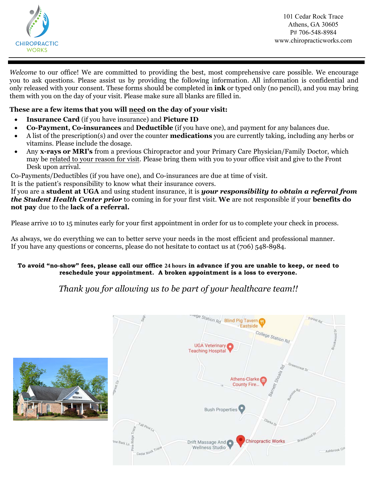

101 Cedar Rock Trace Athens, GA 30605 P# 706-548-8984 www.chiropracticworks.com

*Welcome* to our office! We are committed to providing the best, most comprehensive care possible. We encourage you to ask questions. Please assist us by providing the following information. All information is confidential and only released with your consent. These forms should be completed in **ink** or typed only (no pencil), and you may bring them with you on the day of your visit. Please make sure all blanks are filled in.

### **These are a few items that you will need on the day of your visit:**

- **Insurance Card** (if you have insurance) and **Picture ID**
- **Co-Payment, Co-insurances** and **Deductible** (if you have one), and payment for any balances due.
- A list of the prescription(s) and over the counter **medications** you are currently taking, including any herbs or vitamins. Please include the dosage.
- Any **x-rays or MRI's** from a previous Chiropractor and your Primary Care Physician/Family Doctor, which may be related to your reason for visit. Please bring them with you to your office visit and give to the Front Desk upon arrival.

Co-Payments/Deductibles (if you have one), and Co-insurances are due at time of visit.

It is the patient's responsibility to know what their insurance covers.

If you are a **student at UGA** and using student insurance, it is *your responsibility to obtain a referral from the Student Health Center prior* to coming in for your first visit. **We** are not responsible if your **benefits do not pay** due to the **lack of a referral.** 

Please arrive 10 to 15 minutes early for your first appointment in order for us to complete your check in process.

As always, we do everything we can to better serve your needs in the most efficient and professional manner. If you have any questions or concerns, please do not hesitate to contact us at (706) 548-8984.

### **To avoid "no-show" fees, please call our office 24 hours in advance if you are unable to keep, or need to reschedule your appointment. A broken appointment is a loss to everyone.**

# *Thank you for allowing us to be part of your healthcare team!!*



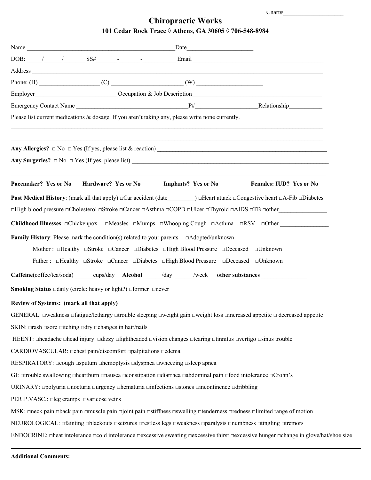## **Chiropractic Works 101 Cedar Rock Trace ◊ Athens, GA 30605 ◊ 706-548-8984**

|                                          | Name                                                                                                        |                                                                                                                                                                                                                                                                                                                                                                       |                                                                                                                                                         |
|------------------------------------------|-------------------------------------------------------------------------------------------------------------|-----------------------------------------------------------------------------------------------------------------------------------------------------------------------------------------------------------------------------------------------------------------------------------------------------------------------------------------------------------------------|---------------------------------------------------------------------------------------------------------------------------------------------------------|
|                                          |                                                                                                             | DOB: $\frac{1}{\sqrt{2}}$ $\frac{1}{\sqrt{2}}$ $\frac{1}{\sqrt{2}}$ $\frac{1}{\sqrt{2}}$ $\frac{1}{\sqrt{2}}$ $\frac{1}{\sqrt{2}}$ $\frac{1}{\sqrt{2}}$ $\frac{1}{\sqrt{2}}$ $\frac{1}{\sqrt{2}}$ $\frac{1}{\sqrt{2}}$ $\frac{1}{\sqrt{2}}$ $\frac{1}{\sqrt{2}}$ $\frac{1}{\sqrt{2}}$ $\frac{1}{\sqrt{2}}$ $\frac{1}{\sqrt{2}}$ $\frac{1}{\sqrt{2}}$ $\frac{1}{\sqrt$ |                                                                                                                                                         |
|                                          |                                                                                                             |                                                                                                                                                                                                                                                                                                                                                                       |                                                                                                                                                         |
|                                          |                                                                                                             |                                                                                                                                                                                                                                                                                                                                                                       |                                                                                                                                                         |
|                                          |                                                                                                             | Employer Cocupation & Job Description                                                                                                                                                                                                                                                                                                                                 |                                                                                                                                                         |
|                                          |                                                                                                             |                                                                                                                                                                                                                                                                                                                                                                       |                                                                                                                                                         |
|                                          |                                                                                                             | Please list current medications & dosage. If you aren't taking any, please write none currently.                                                                                                                                                                                                                                                                      |                                                                                                                                                         |
|                                          |                                                                                                             | Any Surgeries? $\Box$ No $\Box$ Yes (If yes, please list)                                                                                                                                                                                                                                                                                                             |                                                                                                                                                         |
|                                          | Pacemaker? Yes or No Hardware? Yes or No                                                                    | <b>Implants?</b> Yes or No                                                                                                                                                                                                                                                                                                                                            | Females: IUD? Yes or No                                                                                                                                 |
|                                          |                                                                                                             |                                                                                                                                                                                                                                                                                                                                                                       | Past Medical History: (mark all that apply) $\Box$ Car accident (date $\Box$ ) $\Box$ Heart attack $\Box$ Congestive heart $\Box$ A-Fib $\Box$ Diabetes |
|                                          |                                                                                                             |                                                                                                                                                                                                                                                                                                                                                                       | □High blood pressure □Cholesterol □Stroke □Cancer □Asthma □COPD □Ulcer □Thyroid □AIDS □TB □other                                                        |
|                                          |                                                                                                             |                                                                                                                                                                                                                                                                                                                                                                       | <b>Childhood Illnesses:</b> $\Box$ Chickenpox $\Box$ Measles $\Box$ Mumps $\Box$ Whooping Cough $\Box$ Asthma $\Box$ RSV $\Box$ Other                   |
|                                          |                                                                                                             | <b>Family History:</b> Please mark the condition(s) related to your parents $\Box$ Adopted/unknown                                                                                                                                                                                                                                                                    |                                                                                                                                                         |
|                                          |                                                                                                             | Mother: $\Box$ Healthy $\Box$ Stroke $\Box$ Cancer $\Box$ Diabetes $\Box$ High Blood Pressure $\Box$ Deceased $\Box$ Unknown                                                                                                                                                                                                                                          |                                                                                                                                                         |
|                                          |                                                                                                             | Father: $\Box$ Healthy $\Box$ Stroke $\Box$ Cancer $\Box$ Diabetes $\Box$ High Blood Pressure $\Box$ Deceased $\Box$ Unknown                                                                                                                                                                                                                                          |                                                                                                                                                         |
|                                          |                                                                                                             | Caffeine(coffee/tea/soda) cups/day Alcohol /day /week other substances                                                                                                                                                                                                                                                                                                |                                                                                                                                                         |
|                                          | <b>Smoking Status</b> $\Box$ daily (circle: heavy or light?) $\Box$ former $\Box$ never                     |                                                                                                                                                                                                                                                                                                                                                                       |                                                                                                                                                         |
| Review of Systems: (mark all that apply) |                                                                                                             |                                                                                                                                                                                                                                                                                                                                                                       |                                                                                                                                                         |
|                                          |                                                                                                             | GENERAL: $\Box$ weakness $\Box$ fatigue/lethargy $\Box$ trouble sleeping $\Box$ weight gain $\Box$ weight loss $\Box$ increased appetite $\Box$ decreased appetite                                                                                                                                                                                                    |                                                                                                                                                         |
|                                          | SKIN: $\Box$ rash $\Box$ sore $\Box$ itching $\Box$ dry $\Box$ changes in hair/nails                        |                                                                                                                                                                                                                                                                                                                                                                       |                                                                                                                                                         |
|                                          |                                                                                                             | HEENT: □headache □head injury □dizzy □lightheaded □vision changes □tearing □tinnitus □vertigo □sinus trouble                                                                                                                                                                                                                                                          |                                                                                                                                                         |
|                                          | CARDIOVASCULAR: chest pain/discomfort conspitations cedema                                                  |                                                                                                                                                                                                                                                                                                                                                                       |                                                                                                                                                         |
|                                          | RESPIRATORY: $\Box$ cough $\Box$ sputum $\Box$ hemoptysis $\Box$ dyspnea $\Box$ wheezing $\Box$ sleep apnea |                                                                                                                                                                                                                                                                                                                                                                       |                                                                                                                                                         |
|                                          |                                                                                                             | GI: □trouble swallowing □heartburn □nausea □constipation □diarrhea □abdominal pain □food intolerance □Crohn's                                                                                                                                                                                                                                                         |                                                                                                                                                         |
|                                          |                                                                                                             | URINARY: □polyuria □nocturia □urgency □hematuria □infections □stones □incontinence □dribbling                                                                                                                                                                                                                                                                         |                                                                                                                                                         |
| PERIP.VASC.: □leg cramps □varicose veins |                                                                                                             |                                                                                                                                                                                                                                                                                                                                                                       |                                                                                                                                                         |
|                                          |                                                                                                             | MSK: oneck pain oback pain omuscle pain opinit pain ostiffness oswelling otenderness oredness olimited range of motion                                                                                                                                                                                                                                                |                                                                                                                                                         |
|                                          |                                                                                                             | NEUROLOGICAL: □fainting □blackouts □seizures □restless legs □weakness □paralysis □numbness □tingling □tremors                                                                                                                                                                                                                                                         |                                                                                                                                                         |
|                                          |                                                                                                             |                                                                                                                                                                                                                                                                                                                                                                       | ENDOCRINE: □heat intolerance □cold intolerance □excessive sweating □excessive thirst □excessive hunger □change in glove/hat/shoe size                   |
|                                          |                                                                                                             |                                                                                                                                                                                                                                                                                                                                                                       |                                                                                                                                                         |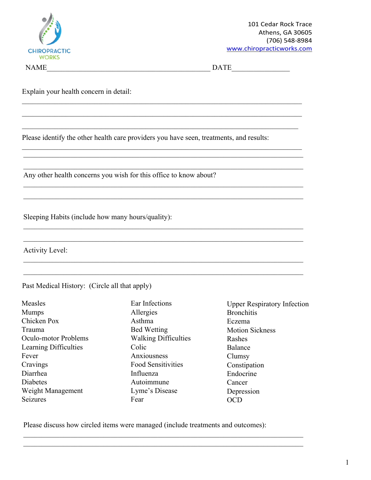

 $\text{NAME}_{\perp}$   $\text{DATE}_{\perp}$   $\text{DATE}_{\perp}$ 

Explain your health concern in detail:

Please identify the other health care providers you have seen, treatments, and results:

 $\mathcal{L}_\mathcal{L} = \{ \mathcal{L}_\mathcal{L} = \{ \mathcal{L}_\mathcal{L} = \{ \mathcal{L}_\mathcal{L} = \{ \mathcal{L}_\mathcal{L} = \{ \mathcal{L}_\mathcal{L} = \{ \mathcal{L}_\mathcal{L} = \{ \mathcal{L}_\mathcal{L} = \{ \mathcal{L}_\mathcal{L} = \{ \mathcal{L}_\mathcal{L} = \{ \mathcal{L}_\mathcal{L} = \{ \mathcal{L}_\mathcal{L} = \{ \mathcal{L}_\mathcal{L} = \{ \mathcal{L}_\mathcal{L} = \{ \mathcal{L}_\mathcal{$ 

 $\mathcal{L}_\mathcal{L} = \{ \mathcal{L}_\mathcal{L} = \{ \mathcal{L}_\mathcal{L} = \{ \mathcal{L}_\mathcal{L} = \{ \mathcal{L}_\mathcal{L} = \{ \mathcal{L}_\mathcal{L} = \{ \mathcal{L}_\mathcal{L} = \{ \mathcal{L}_\mathcal{L} = \{ \mathcal{L}_\mathcal{L} = \{ \mathcal{L}_\mathcal{L} = \{ \mathcal{L}_\mathcal{L} = \{ \mathcal{L}_\mathcal{L} = \{ \mathcal{L}_\mathcal{L} = \{ \mathcal{L}_\mathcal{L} = \{ \mathcal{L}_\mathcal{$ 

 $\_$  , and the contribution of the contribution of  $\mathcal{L}_\mathcal{A}$  , and the contribution of  $\mathcal{L}_\mathcal{A}$ 

 $\_$  , and the contribution of the contribution of the contribution of the contribution of  $\mathcal{L}_\text{max}$  $\_$  , and the contribution of the contribution of the contribution of the contribution of  $\mathcal{L}_\text{max}$  $\_$  , and the contribution of the contribution of the contribution of the contribution of  $\mathcal{L}_\text{max}$ 

 $\_$  , and the contribution of the contribution of the contribution of the contribution of  $\mathcal{L}_\text{max}$  $\_$  , and the contribution of the contribution of the contribution of the contribution of  $\mathcal{L}_\text{max}$ 

 $\_$  , and the contribution of the contribution of the contribution of the contribution of  $\mathcal{L}_\text{max}$ 

 $\_$  , and the contribution of the contribution of the contribution of the contribution of  $\mathcal{L}_\text{max}$ 

 $\mathcal{L}_\mathcal{L} = \{ \mathcal{L}_\mathcal{L} = \{ \mathcal{L}_\mathcal{L} = \{ \mathcal{L}_\mathcal{L} = \{ \mathcal{L}_\mathcal{L} = \{ \mathcal{L}_\mathcal{L} = \{ \mathcal{L}_\mathcal{L} = \{ \mathcal{L}_\mathcal{L} = \{ \mathcal{L}_\mathcal{L} = \{ \mathcal{L}_\mathcal{L} = \{ \mathcal{L}_\mathcal{L} = \{ \mathcal{L}_\mathcal{L} = \{ \mathcal{L}_\mathcal{L} = \{ \mathcal{L}_\mathcal{L} = \{ \mathcal{L}_\mathcal{$ 

 $\mathcal{L}_\mathcal{L} = \{ \mathcal{L}_\mathcal{L} = \{ \mathcal{L}_\mathcal{L} = \{ \mathcal{L}_\mathcal{L} = \{ \mathcal{L}_\mathcal{L} = \{ \mathcal{L}_\mathcal{L} = \{ \mathcal{L}_\mathcal{L} = \{ \mathcal{L}_\mathcal{L} = \{ \mathcal{L}_\mathcal{L} = \{ \mathcal{L}_\mathcal{L} = \{ \mathcal{L}_\mathcal{L} = \{ \mathcal{L}_\mathcal{L} = \{ \mathcal{L}_\mathcal{L} = \{ \mathcal{L}_\mathcal{L} = \{ \mathcal{L}_\mathcal{$ 

Any other health concerns you wish for this office to know about?

Sleeping Habits (include how many hours/quality):

Activity Level:

Past Medical History: (Circle all that apply)

| Measles               |  |  |
|-----------------------|--|--|
| <b>Mumps</b>          |  |  |
| Chicken Pox           |  |  |
| Trauma                |  |  |
| Oculo-motor Problems  |  |  |
| Learning Difficulties |  |  |
| Fever                 |  |  |
| Cravings              |  |  |
| Diarrhea              |  |  |
| Diabetes              |  |  |
| Weight Management     |  |  |
| Seizures              |  |  |

Ear Infections Allergies Asthma Bed Wetting Walking Difficulties Colic Anxiousness Food Sensitivities Influenza Autoimmune Lyme's Disease Fear

\_\_\_\_\_\_\_\_\_\_\_\_\_\_\_\_\_\_\_\_\_\_\_\_\_\_\_\_\_\_\_\_\_\_\_\_\_\_\_\_\_\_\_\_\_\_\_\_\_\_\_\_\_\_\_\_\_\_\_\_\_\_\_\_\_\_\_\_\_\_\_\_\_\_\_\_\_ \_\_\_\_\_\_\_\_\_\_\_\_\_\_\_\_\_\_\_\_\_\_\_\_\_\_\_\_\_\_\_\_\_\_\_\_\_\_\_\_\_\_\_\_\_\_\_\_\_\_\_\_\_\_\_\_\_\_\_\_\_\_\_\_\_\_\_\_\_\_\_\_\_\_\_\_\_

Upper Respiratory Infection Bronchitis Eczema Motion Sickness Rashes Balance Clumsy Constipation Endocrine Cancer Depression OCD

Please discuss how circled items were managed (include treatments and outcomes):